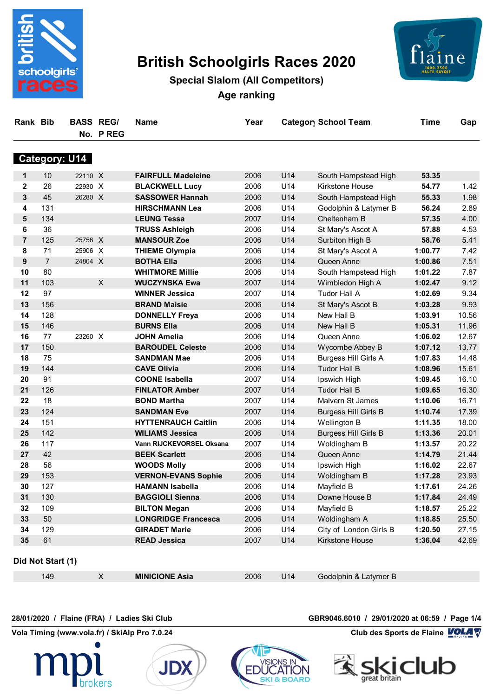

# **British Schoolgirls Races 2020**



# **Special Slalom (All Competitors) Age ranking**

| <b>Rank Bib</b> |                   | <b>BASS REGI</b>     | No. PREG                  | <b>Name</b>                | Year |     | <b>Category School Team</b> | <b>Time</b> | Gap   |
|-----------------|-------------------|----------------------|---------------------------|----------------------------|------|-----|-----------------------------|-------------|-------|
|                 |                   | <b>Category: U14</b> |                           |                            |      |     |                             |             |       |
| $\mathbf 1$     | 10                | 22110 X              |                           | <b>FAIRFULL Madeleine</b>  | 2006 | U14 | South Hampstead High        | 53.35       |       |
| $\mathbf{2}$    | 26                | 22930 X              |                           | <b>BLACKWELL Lucy</b>      | 2006 | U14 | <b>Kirkstone House</b>      | 54.77       | 1.42  |
| 3               | 45                | 26280 X              |                           | <b>SASSOWER Hannah</b>     | 2006 | U14 | South Hampstead High        | 55.33       | 1.98  |
| 4               | 131               |                      |                           | <b>HIRSCHMANN Lea</b>      | 2006 | U14 | Godolphin & Latymer B       | 56.24       | 2.89  |
| 5               | 134               |                      |                           | <b>LEUNG Tessa</b>         | 2007 | U14 | Cheltenham B                | 57.35       | 4.00  |
| 6               | 36                |                      |                           | <b>TRUSS Ashleigh</b>      | 2006 | U14 | St Mary's Ascot A           | 57.88       | 4.53  |
| $\overline{7}$  | 125               | 25756 X              |                           | <b>MANSOUR Zoe</b>         | 2006 | U14 | Surbiton High B             | 58.76       | 5.41  |
| 8               | 71                | 25906 X              |                           | <b>THIEME Olympia</b>      | 2006 | U14 | St Mary's Ascot A           | 1:00.77     | 7.42  |
| 9               | $\overline{7}$    | 24804 X              |                           | <b>BOTHA Ella</b>          | 2006 | U14 | Queen Anne                  | 1:00.86     | 7.51  |
| 10              | 80                |                      |                           | <b>WHITMORE Millie</b>     | 2006 | U14 | South Hampstead High        | 1:01.22     | 7.87  |
| 11              | 103               |                      | $\boldsymbol{\mathsf{X}}$ | <b>WUCZYNSKA Ewa</b>       | 2007 | U14 | Wimbledon High A            | 1:02.47     | 9.12  |
| 12              | 97                |                      |                           | <b>WINNER Jessica</b>      | 2007 | U14 | <b>Tudor Hall A</b>         | 1:02.69     | 9.34  |
| 13              | 156               |                      |                           | <b>BRAND Maisie</b>        | 2006 | U14 | St Mary's Ascot B           | 1:03.28     | 9.93  |
| 14              | 128               |                      |                           | <b>DONNELLY Freya</b>      | 2006 | U14 | New Hall B                  | 1:03.91     | 10.56 |
| 15              | 146               |                      |                           | <b>BURNS Ella</b>          | 2006 | U14 | New Hall B                  | 1:05.31     | 11.96 |
| 16              | 77                | 23260 X              |                           | <b>JOHN Amelia</b>         | 2006 | U14 | Queen Anne                  | 1:06.02     | 12.67 |
| 17              | 150               |                      |                           | <b>BAROUDEL Celeste</b>    | 2006 | U14 | Wycombe Abbey B             | 1:07.12     | 13.77 |
| 18              | 75                |                      |                           | <b>SANDMAN Mae</b>         | 2006 | U14 | <b>Burgess Hill Girls A</b> | 1:07.83     | 14.48 |
| 19              | 144               |                      |                           | <b>CAVE Olivia</b>         | 2006 | U14 | <b>Tudor Hall B</b>         | 1:08.96     | 15.61 |
| 20              | 91                |                      |                           | <b>COONE Isabella</b>      | 2007 | U14 | Ipswich High                | 1:09.45     | 16.10 |
| 21              | 126               |                      |                           | <b>FINLATOR Amber</b>      | 2007 | U14 | <b>Tudor Hall B</b>         | 1:09.65     | 16.30 |
| 22              | 18                |                      |                           | <b>BOND Martha</b>         | 2007 | U14 | Malvern St James            | 1:10.06     | 16.71 |
| 23              | 124               |                      |                           | <b>SANDMAN Eve</b>         | 2007 | U14 | <b>Burgess Hill Girls B</b> | 1:10.74     | 17.39 |
| 24              | 151               |                      |                           | <b>HYTTENRAUCH Caitlin</b> | 2006 | U14 | Wellington B                | 1:11.35     | 18.00 |
| 25              | 142               |                      |                           | <b>WILIAMS Jessica</b>     | 2006 | U14 | <b>Burgess Hill Girls B</b> | 1:13.36     | 20.01 |
| 26              | 117               |                      |                           | Vann RIJCKEVORSEL Oksana   | 2007 | U14 | Woldingham B                | 1:13.57     | 20.22 |
| 27              | 42                |                      |                           | <b>BEEK Scarlett</b>       | 2006 | U14 | Queen Anne                  | 1:14.79     | 21.44 |
| 28              | 56                |                      |                           | <b>WOODS Molly</b>         | 2006 | U14 | Ipswich High                | 1:16.02     | 22.67 |
| 29              | 153               |                      |                           | <b>VERNON-EVANS Sophie</b> | 2006 | U14 | Woldingham B                | 1:17.28     | 23.93 |
| 30              | 127               |                      |                           | <b>HAMANN Isabella</b>     | 2006 | U14 | Mayfield B                  | 1:17.61     | 24.26 |
| 31              | 130               |                      |                           | <b>BAGGIOLI Sienna</b>     | 2006 | U14 | Downe House B               | 1:17.84     | 24.49 |
| 32              | 109               |                      |                           | <b>BILTON Megan</b>        | 2006 | U14 | Mayfield B                  | 1:18.57     | 25.22 |
| 33              | 50                |                      |                           | <b>LONGRIDGE Francesca</b> | 2006 | U14 | Woldingham A                | 1:18.85     | 25.50 |
| 34              | 129               |                      |                           | <b>GIRADET Marie</b>       | 2006 | U14 | City of London Girls B      | 1:20.50     | 27.15 |
| 35              | 61                |                      |                           | <b>READ Jessica</b>        | 2007 | U14 | Kirkstone House             | 1:36.04     | 42.69 |
|                 | Did Not Start (1) |                      |                           |                            |      |     |                             |             |       |
|                 | 149               |                      | $\mathsf{X}$              | <b>MINICIONE Asia</b>      | 2006 | U14 | Godolphin & Latymer B       |             |       |

**ED** 

**ATION** 

**SKI & BOARD** 

**Vola Timing (www.vola.fr) / SkiAlp Pro 7.0.24 Club des Sports de Flaine VOLA V** 





**28/01/2020 / Flaine (FRA) / Ladies Ski Club GBR9046.6010 / 29/01/2020 at 06:59 / Page 1/4**

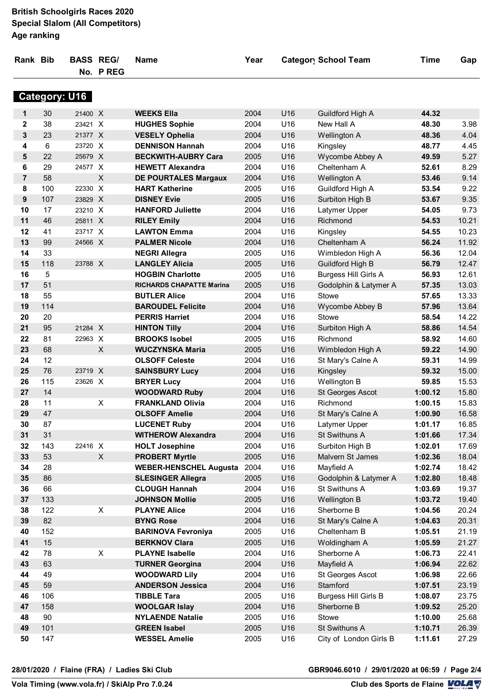#### **British Schoolgirls Races 2020 Special Slalom (All Competitors) Age ranking**

| Rank Bib       |     | <b>BASS REGI</b>     | No. PREG | <b>Name</b>                     | Year | <b>Category School Team</b> |                             | <b>Time</b> | Gap   |
|----------------|-----|----------------------|----------|---------------------------------|------|-----------------------------|-----------------------------|-------------|-------|
|                |     | <b>Category: U16</b> |          |                                 |      |                             |                             |             |       |
| 1              | 30  | 21400 X              |          | <b>WEEKS Ella</b>               | 2004 | U16                         | Guildford High A            | 44.32       |       |
| $\mathbf{2}$   | 38  | 23421 X              |          | <b>HUGHES Sophie</b>            | 2004 | U16                         | New Hall A                  | 48.30       | 3.98  |
| 3              | 23  | 21377 X              |          | <b>VESELY Ophelia</b>           | 2004 | U16                         | <b>Wellington A</b>         | 48.36       | 4.04  |
| 4              | 6   | 23720 X              |          | <b>DENNISON Hannah</b>          | 2004 | U16                         | Kingsley                    | 48.77       | 4.45  |
| 5              | 22  | 25679 X              |          | <b>BECKWITH-AUBRY Cara</b>      | 2005 | U16                         | Wycombe Abbey A             | 49.59       | 5.27  |
| 6              | 29  | 24577 X              |          | <b>HEWETT Alexandra</b>         | 2004 | U16                         | Cheltenham A                | 52.61       | 8.29  |
| $\overline{7}$ | 58  |                      | $\times$ | <b>DE POURTALES Margaux</b>     | 2004 | U16                         | Wellington A                | 53.46       | 9.14  |
| 8              | 100 | 22330 X              |          | <b>HART Katherine</b>           | 2005 | U16                         | Guildford High A            | 53.54       | 9.22  |
| 9              | 107 | 23829 X              |          | <b>DISNEY Evie</b>              | 2005 | U16                         | Surbiton High B             | 53.67       | 9.35  |
| 10             | 17  | 23210 X              |          | <b>HANFORD Juliette</b>         | 2004 | U16                         | Latymer Upper               | 54.05       | 9.73  |
| 11             | 46  | 25811 X              |          | <b>RILEY Emily</b>              | 2004 | U16                         | Richmond                    | 54.53       | 10.21 |
| 12             | 41  | 23717 X              |          | <b>LAWTON Emma</b>              | 2004 | U16                         | Kingsley                    | 54.55       | 10.23 |
| 13             | 99  | 24566 X              |          | <b>PALMER Nicole</b>            | 2004 | U16                         | Cheltenham A                | 56.24       | 11.92 |
| 14             | 33  |                      |          | <b>NEGRI Allegra</b>            | 2005 | U16                         | Wimbledon High A            | 56.36       | 12.04 |
| 15             | 118 | 23788 X              |          | <b>LANGLEY Alicia</b>           | 2005 | U16                         | Guildford High B            | 56.79       | 12.47 |
| 16             | 5   |                      |          | <b>HOGBIN Charlotte</b>         | 2005 | U16                         | <b>Burgess Hill Girls A</b> | 56.93       | 12.61 |
| 17             | 51  |                      |          | <b>RICHARDS CHAPATTE Marina</b> | 2005 | U16                         | Godolphin & Latymer A       | 57.35       | 13.03 |
| 18             | 55  |                      |          | <b>BUTLER Alice</b>             | 2004 | U16                         | Stowe                       | 57.65       | 13.33 |
| 19             | 114 |                      |          | <b>BAROUDEL Felicite</b>        | 2004 | U16                         | Wycombe Abbey B             | 57.96       | 13.64 |
| 20             | 20  |                      |          | <b>PERRIS Harriet</b>           | 2004 | U16                         | <b>Stowe</b>                | 58.54       | 14.22 |
| 21             | 95  | 21284 X              |          | <b>HINTON Tilly</b>             | 2004 | U16                         | Surbiton High A             | 58.86       | 14.54 |
| 22             | 81  | 22963 X              |          | <b>BROOKS Isobel</b>            | 2005 | U16                         | Richmond                    | 58.92       | 14.60 |
| 23             | 68  |                      | X        | <b>WUCZYNSKA Maria</b>          | 2005 | U16                         | Wimbledon High A            | 59.22       | 14.90 |
| 24             | 12  |                      |          | <b>OLSOFF Celeste</b>           | 2004 | U16                         | St Mary's Calne A           | 59.31       | 14.99 |
| 25             | 76  | 23719 X              |          | <b>SAINSBURY Lucy</b>           | 2004 | U16                         | Kingsley                    | 59.32       | 15.00 |
| 26             | 115 | 23626 X              |          | <b>BRYER Lucy</b>               | 2004 | U16                         | Wellington B                | 59.85       | 15.53 |
| 27             | 14  |                      |          | <b>WOODWARD Ruby</b>            | 2004 | U16                         | St Georges Ascot            | 1:00.12     | 15.80 |
| 28             | 11  |                      | X        | <b>FRANKLAND Olivia</b>         | 2004 | U16                         | Richmond                    | 1:00.15     | 15.83 |
| 29             | 47  |                      |          | <b>OLSOFF Amelie</b>            | 2004 | U16                         | St Mary's Calne A           | 1:00.90     | 16.58 |
| 30             | 87  |                      |          | <b>LUCENET Ruby</b>             | 2004 | U16                         | Latymer Upper               | 1:01.17     | 16.85 |
| 31             | 31  |                      |          | <b>WITHEROW Alexandra</b>       | 2004 | U16                         | St Swithuns A               | 1:01.66     | 17.34 |
| 32             | 143 | 22416 X              |          | <b>HOLT Josephine</b>           | 2004 | U16                         | Surbiton High B             | 1:02.01     | 17.69 |
| 33             | 53  |                      | X        | <b>PROBERT Myrtle</b>           | 2005 | U16                         | Malvern St James            | 1:02.36     | 18.04 |
| 34             | 28  |                      |          | <b>WEBER-HENSCHEL Augusta</b>   | 2004 | U16                         | Mayfield A                  | 1:02.74     | 18.42 |
| 35             | 86  |                      |          | <b>SLESINGER Allegra</b>        | 2005 | U16                         | Godolphin & Latymer A       | 1:02.80     | 18.48 |
| 36             | 66  |                      |          | <b>CLOUGH Hannah</b>            | 2004 | U16                         | St Swithuns A               | 1:03.69     | 19.37 |
| 37             | 133 |                      |          | <b>JOHNSON Mollie</b>           | 2005 | U16                         | Wellington B                | 1:03.72     | 19.40 |
| 38             | 122 |                      | X        | <b>PLAYNE Alice</b>             | 2004 | U16                         | Sherborne B                 | 1:04.56     | 20.24 |
| 39             | 82  |                      |          | <b>BYNG Rose</b>                | 2004 | U16                         | St Mary's Calne A           | 1:04.63     | 20.31 |
| 40             | 152 |                      |          | <b>BARINOVA Fevroniya</b>       | 2005 | U16                         | Cheltenham B                | 1:05.51     | 21.19 |
| 41             | 15  |                      |          | <b>BERKNOV Clara</b>            | 2005 | U16                         | Woldingham A                | 1:05.59     | 21.27 |
| 42             | 78  |                      | X        | <b>PLAYNE Isabelle</b>          | 2004 | U16                         | Sherborne A                 | 1:06.73     | 22.41 |
| 43             | 63  |                      |          | <b>TURNER Georgina</b>          | 2004 | U16                         | Mayfield A                  | 1:06.94     | 22.62 |
| 44             | 49  |                      |          | <b>WOODWARD Lily</b>            | 2004 | U16                         | St Georges Ascot            | 1:06.98     | 22.66 |
| 45             | 59  |                      |          | <b>ANDERSON Jessica</b>         | 2004 | U16                         | Stamford                    | 1:07.51     | 23.19 |
| 46             | 106 |                      |          | <b>TIBBLE Tara</b>              | 2005 | U16                         | <b>Burgess Hill Girls B</b> | 1:08.07     | 23.75 |
| 47             | 158 |                      |          | <b>WOOLGAR Islay</b>            | 2004 | U16                         | Sherborne B                 | 1:09.52     | 25.20 |
| 48             | 90  |                      |          | <b>NYLAENDE Natalie</b>         | 2005 | U16                         | Stowe                       | 1:10.00     | 25.68 |
| 49             | 101 |                      |          | <b>GREEN Isabel</b>             | 2005 | U16                         | St Swithuns A               | 1:10.71     | 26.39 |
| 50             | 147 |                      |          | <b>WESSEL Amelie</b>            | 2005 | U16                         | City of London Girls B      | 1:11.61     | 27.29 |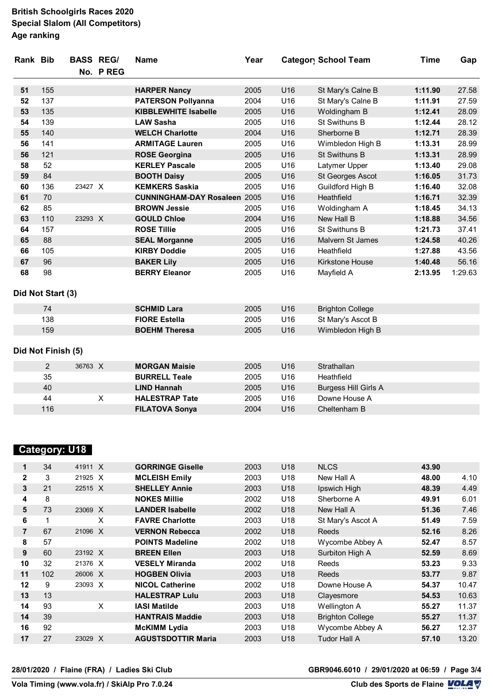#### **British Schoolgirls Races 2020 Special Slalom (All Competitors) Age ranking**

| Rank Bib |                    | <b>BASS REG/</b> |                | <b>Name</b>                         | Year |     | <b>Category School Team</b> | <b>Time</b> | Gap     |
|----------|--------------------|------------------|----------------|-------------------------------------|------|-----|-----------------------------|-------------|---------|
|          |                    |                  | No. PREG       |                                     |      |     |                             |             |         |
| 51       | 155                |                  |                | <b>HARPER Nancy</b>                 | 2005 | U16 | St Mary's Calne B           | 1:11.90     | 27.58   |
| 52       | 137                |                  |                | <b>PATERSON Pollyanna</b>           | 2004 | U16 | St Mary's Calne B           | 1:11.91     | 27.59   |
| 53       | 135                |                  |                | <b>KIBBLEWHITE Isabelle</b>         | 2005 | U16 | Woldingham B                | 1:12.41     | 28.09   |
| 54       | 139                |                  |                | <b>LAW Sasha</b>                    | 2005 | U16 | St Swithuns B               | 1:12.44     | 28.12   |
| 55       | 140                |                  |                | <b>WELCH Charlotte</b>              | 2004 | U16 | Sherborne B                 | 1:12.71     | 28.39   |
| 56       | 141                |                  |                | <b>ARMITAGE Lauren</b>              | 2005 | U16 | Wimbledon High B            | 1:13.31     | 28.99   |
| 56       | 121                |                  |                | <b>ROSE Georgina</b>                | 2005 | U16 | St Swithuns B               | 1:13.31     | 28.99   |
| 58       | 52                 |                  |                | <b>KERLEY Pascale</b>               | 2005 | U16 | Latymer Upper               | 1:13.40     | 29.08   |
| 59       | 84                 |                  |                | <b>BOOTH Daisy</b>                  | 2005 | U16 | St Georges Ascot            | 1:16.05     | 31.73   |
| 60       | 136                | 23427 X          |                | <b>KEMKERS Saskia</b>               | 2005 | U16 | Guildford High B            | 1:16.40     | 32.08   |
| 61       | 70                 |                  |                | <b>CUNNINGHAM-DAY Rosaleen 2005</b> |      | U16 | Heathfield                  | 1:16.71     | 32.39   |
| 62       | 85                 |                  |                | <b>BROWN Jessie</b>                 | 2005 | U16 | Woldingham A                | 1:18.45     | 34.13   |
| 63       | 110                | 23293 X          |                | <b>GOULD Chloe</b>                  | 2004 | U16 | New Hall B                  | 1:18.88     | 34.56   |
| 64       | 157                |                  |                | <b>ROSE Tillie</b>                  | 2005 | U16 | St Swithuns B               | 1:21.73     | 37.41   |
| 65       | 88                 |                  |                | <b>SEAL Morganne</b>                | 2005 | U16 | Malvern St James            | 1:24.58     | 40.26   |
| 66       | 105                |                  |                | <b>KIRBY Doddie</b>                 | 2005 | U16 | Heathfield                  | 1:27.88     | 43.56   |
| 67       | 96                 |                  |                | <b>BAKER Lily</b>                   | 2005 | U16 | <b>Kirkstone House</b>      | 1:40.48     | 56.16   |
| 68       | 98                 |                  |                | <b>BERRY Eleanor</b>                | 2005 | U16 | Mayfield A                  | 2:13.95     | 1:29.63 |
|          | Did Not Start (3)  |                  |                |                                     |      |     |                             |             |         |
|          | 74                 |                  |                | <b>SCHMID Lara</b>                  | 2005 | U16 | <b>Brighton College</b>     |             |         |
|          | 138                |                  |                | <b>FIORE Estella</b>                | 2005 | U16 | St Mary's Ascot B           |             |         |
|          | 159                |                  |                | <b>BOEHM Theresa</b>                | 2005 | U16 | Wimbledon High B            |             |         |
|          | Did Not Finish (5) |                  |                |                                     |      |     |                             |             |         |
|          | $\overline{c}$     | 36763 X          |                | <b>MORGAN Maisie</b>                | 2005 | U16 | Strathallan                 |             |         |
|          | 35                 |                  |                | <b>BURRELL Teale</b>                | 2005 | U16 | Heathfield                  |             |         |
|          | 40                 |                  |                | <b>LIND Hannah</b>                  | 2005 | U16 | <b>Burgess Hill Girls A</b> |             |         |
|          | 44                 |                  | $\pmb{\times}$ | <b>HALESTRAP Tate</b>               | 2005 | U16 | Downe House A               |             |         |
|          | 116                |                  |                | <b>FILATOVA Sonya</b>               | 2004 | U16 | Cheltenham B                |             |         |

### **Category: U18**

| $\mathbf 1$  | 34  | 41911 X | <b>GORRINGE Giselle</b>   | 2003 | U18             | <b>NLCS</b>             | 43.90 |       |
|--------------|-----|---------|---------------------------|------|-----------------|-------------------------|-------|-------|
| $\mathbf{2}$ | 3   | 21925 X | <b>MCLEISH Emily</b>      | 2003 | U18             | New Hall A              | 48.00 | 4.10  |
| 3            | 21  | 22515 X | <b>SHELLEY Annie</b>      | 2003 | U18             | Ipswich High            | 48.39 | 4.49  |
| 4            | 8   |         | <b>NOKES Millie</b>       | 2002 | U18             | Sherborne A             | 49.91 | 6.01  |
| 5            | 73  | 23069 X | <b>LANDER Isabelle</b>    | 2002 | U18             | New Hall A              | 51.36 | 7.46  |
| 6            |     | X       | <b>FAVRE Charlotte</b>    | 2003 | U18             | St Mary's Ascot A       | 51.49 | 7.59  |
| 7            | 67  | 21096 X | <b>VERNON Rebecca</b>     | 2002 | U18             | <b>Reeds</b>            | 52.16 | 8.26  |
| 8            | 57  |         | <b>POINTS Madeline</b>    | 2002 | U18             | Wycombe Abbey A         | 52.47 | 8.57  |
| 9            | 60  | 23192 X | <b>BREEN Ellen</b>        | 2003 | U18             | Surbiton High A         | 52.59 | 8.69  |
| 10           | 32  | 21376 X | <b>VESELY Miranda</b>     | 2002 | U18             | Reeds                   | 53.23 | 9.33  |
| 11           | 102 | 26006 X | <b>HOGBEN Olivia</b>      | 2003 | U <sub>18</sub> | <b>Reeds</b>            | 53.77 | 9.87  |
| 12           | 9   | 23093 X | <b>NICOL Catherine</b>    | 2002 | U18             | Downe House A           | 54.37 | 10.47 |
| 13           | 13  |         | <b>HALESTRAP Lulu</b>     | 2003 | U18             | Clayesmore              | 54.53 | 10.63 |
| 14           | 93  | X       | <b>IASI Matilde</b>       | 2003 | U18             | <b>Wellington A</b>     | 55.27 | 11.37 |
| 14           | 39  |         | <b>HANTRAIS Maddie</b>    | 2003 | U18             | <b>Brighton College</b> | 55.27 | 11.37 |
| 16           | 92  |         | <b>McKIMM Lydia</b>       | 2003 | U18             | Wycombe Abbey A         | 56.27 | 12.37 |
| 17           | 27  | 23029 X | <b>AGUSTSDOTTIR Maria</b> | 2003 | U18             | <b>Tudor Hall A</b>     | 57.10 | 13.20 |